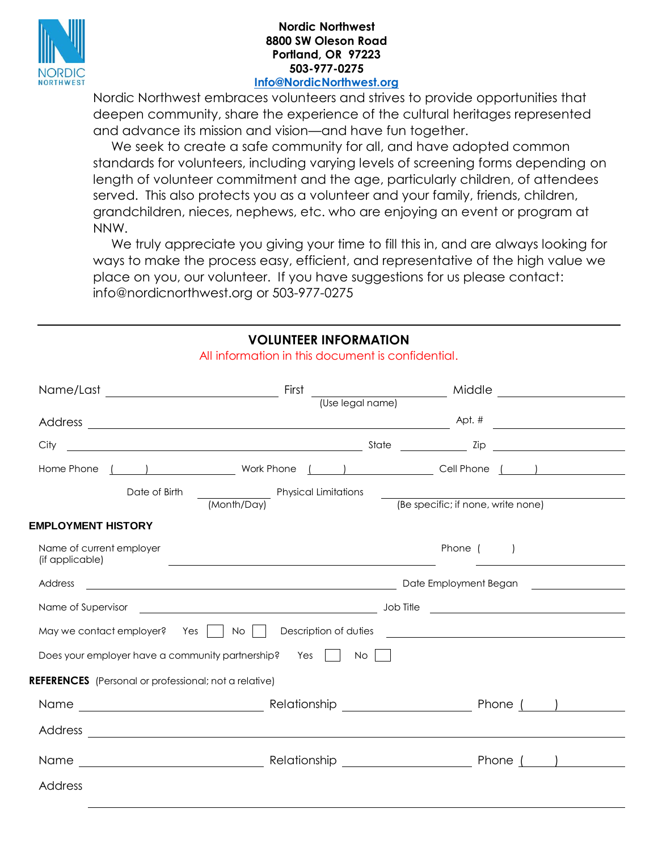

## **Nordic Northwest 8800 SW Oleson Road Portland, OR 97223 503-977-0275**

## **[Info@NordicNorthwest.org](mailto:Info@NordicNorthwest.org)**

Nordic Northwest embraces volunteers and strives to provide opportunities that deepen community, share the experience of the cultural heritages represented and advance its mission and vision—and have fun together.

We seek to create a safe community for all, and have adopted common standards for volunteers, including varying levels of screening forms depending on length of volunteer commitment and the age, particularly children, of attendees served. This also protects you as a volunteer and your family, friends, children, grandchildren, nieces, nephews, etc. who are enjoying an event or program at NNW.

 We truly appreciate you giving your time to fill this in, and are always looking for ways to make the process easy, efficient, and representative of the high value we place on you, our volunteer. If you have suggestions for us please contact: info@nordicnorthwest.org or 503-977-0275

## **VOLUNTEER INFORMATION**

|                                                              |                                                                                                                                                                                                                                                     |                                    | Widdle <u>Conservation and Middle Conservation of Middle Conservation and Middle Conservation and Middle Conservation and Middle Conservation and Middle Conservation and Middle Conservation and Middle Conservation and Middle</u> |
|--------------------------------------------------------------|-----------------------------------------------------------------------------------------------------------------------------------------------------------------------------------------------------------------------------------------------------|------------------------------------|--------------------------------------------------------------------------------------------------------------------------------------------------------------------------------------------------------------------------------------|
|                                                              |                                                                                                                                                                                                                                                     |                                    |                                                                                                                                                                                                                                      |
| City                                                         | <u>and the second contract of the second contract of the second contract of the second contract of the second contract of the second contract of the second contract of the second contract of the second contract of the second</u>                | $\frac{1}{2}$ Zip                  | <u> 1989 - Johann Stoff, fransk konge</u>                                                                                                                                                                                            |
| Home Phone                                                   | <u>and the set of the set of the set of the set of the set of the set of the set of the set of the set of the set of the set of the set of the set of the set of the set of the set of the set of the set of the set of the set </u>                |                                    |                                                                                                                                                                                                                                      |
| Date of Birth                                                | Physical Limitations <b>contained a manufacture of the set of the set of the set of the set of the set of the set of the set of the set of the set of the set of the set of the set of the set of the set of the set of the set </b><br>(Month/Day) | (Be specific; if none, write none) |                                                                                                                                                                                                                                      |
| <b>EMPLOYMENT HISTORY</b>                                    |                                                                                                                                                                                                                                                     |                                    |                                                                                                                                                                                                                                      |
| Name of current employer<br>(if applicable)                  | <u>and the contract of the contract of the contract of the contract of the contract of the contract of the contract of the contract of the contract of the contract of the contract of the contract of the contract of the contr</u>                | Phone ( )                          | <u> 1989 - Johann Barn, fransk politik amerikansk politik (</u>                                                                                                                                                                      |
| Address                                                      | Date Employment Began and the contract of the Contract of the Contract of the Contract of the Contract of the Contract of the Contract of the Contract of the Contract of the Contract of the Contract of the Contract of the                       |                                    |                                                                                                                                                                                                                                      |
|                                                              | Name of Supervisor <u>entitled and the set of the set of the set of the set of supervisor</u> and the set of Supervisor                                                                                                                             |                                    |                                                                                                                                                                                                                                      |
| May we contact employer? Yes   No                            |                                                                                                                                                                                                                                                     |                                    |                                                                                                                                                                                                                                      |
| Does your employer have a community partnership?             | Yes II<br><b>No</b>                                                                                                                                                                                                                                 |                                    |                                                                                                                                                                                                                                      |
| <b>REFERENCES</b> (Personal or professional; not a relative) |                                                                                                                                                                                                                                                     |                                    |                                                                                                                                                                                                                                      |
|                                                              |                                                                                                                                                                                                                                                     |                                    |                                                                                                                                                                                                                                      |
|                                                              |                                                                                                                                                                                                                                                     |                                    |                                                                                                                                                                                                                                      |
|                                                              |                                                                                                                                                                                                                                                     |                                    |                                                                                                                                                                                                                                      |
| Address                                                      |                                                                                                                                                                                                                                                     |                                    |                                                                                                                                                                                                                                      |

All information in this document is confidential.